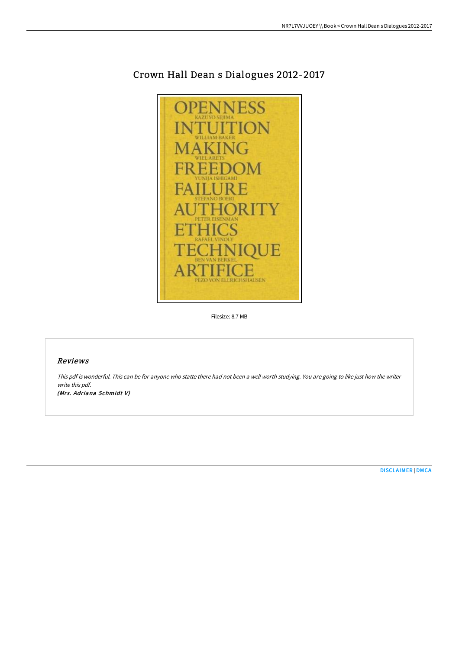

## Crown Hall Dean s Dialogues 2012-2017

Filesize: 8.7 MB

## Reviews

This pdf is wonderful. This can be for anyone who statte there had not been <sup>a</sup> well worth studying. You are going to like just how the writer write this pdf.

(Mrs. Adriana Schmidt V)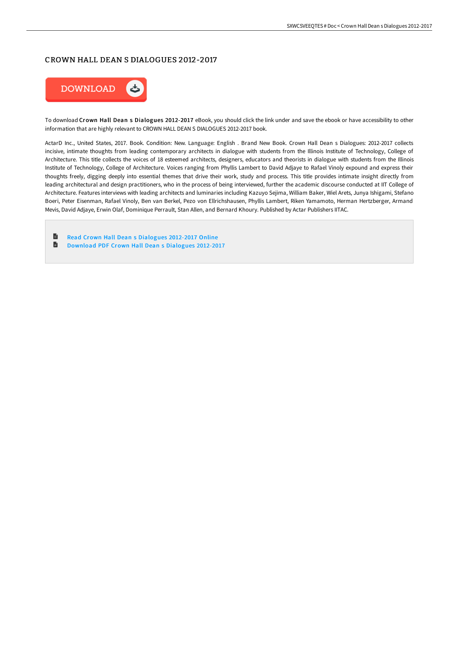## CROWN HALL DEAN S DIALOGUES 2012-2017



To download Crown Hall Dean s Dialogues 2012-2017 eBook, you should click the link under and save the ebook or have accessibility to other information that are highly relevant to CROWN HALL DEAN S DIALOGUES 2012-2017 book.

ActarD Inc., United States, 2017. Book. Condition: New. Language: English . Brand New Book. Crown Hall Dean s Dialogues: 2012-2017 collects incisive, intimate thoughts from leading contemporary architects in dialogue with students from the Illinois Institute of Technology, College of Architecture. This title collects the voices of 18 esteemed architects, designers, educators and theorists in dialogue with students from the Illinois Institute of Technology, College of Architecture. Voices ranging from Phyllis Lambert to David Adjaye to Rafael Vinoly expound and express their thoughts freely, digging deeply into essential themes that drive their work, study and process. This title provides intimate insight directly from leading architectural and design practitioners, who in the process of being interviewed, further the academic discourse conducted at IIT College of Architecture. Features interviews with leading architects and luminaries including Kazuyo Sejima, William Baker, Wiel Arets, Junya Ishigami, Stefano Boeri, Peter Eisenman, Rafael Vinoly, Ben van Berkel, Pezo von Ellrichshausen, Phyllis Lambert, Riken Yamamoto, Herman Hertzberger, Armand Mevis, David Adjaye, Erwin Olaf, Dominique Perrault, Stan Allen, and Bernard Khoury. Published by Actar Publishers IITAC.

 $\blacksquare$ Read Crown Hall Dean s [Dialogues](http://techno-pub.tech/crown-hall-dean-s-dialogues-2012-2017.html) 2012-2017 Online D [Download](http://techno-pub.tech/crown-hall-dean-s-dialogues-2012-2017.html) PDF Crown Hall Dean s Dialogues 2012-2017